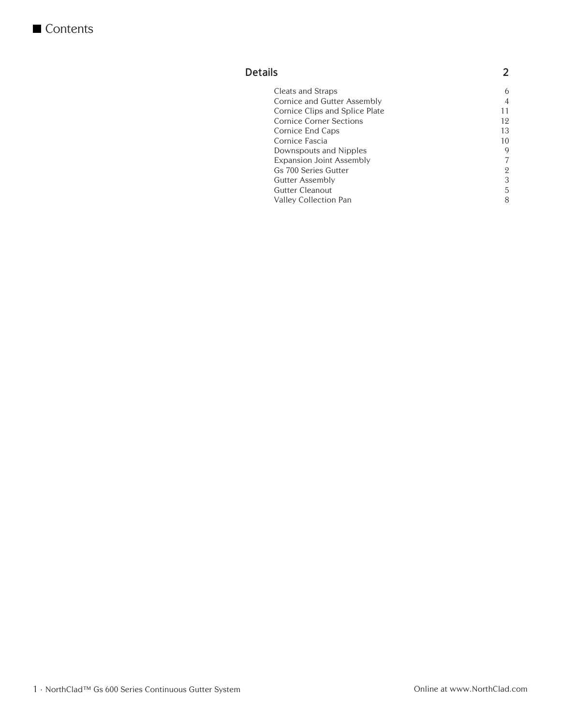#### **Details 2**

| Cleats and Straps               | 6  |
|---------------------------------|----|
| Cornice and Gutter Assembly     | 4  |
| Cornice Clips and Splice Plate  | 11 |
| <b>Cornice Corner Sections</b>  | 12 |
| Cornice End Caps                | 13 |
| Cornice Fascia                  | 10 |
| Downspouts and Nipples          | 9  |
| <b>Expansion Joint Assembly</b> | 7  |
| Gs 700 Series Gutter            | 2  |
| Gutter Assembly                 | 3  |
| Gutter Cleanout                 | 5  |
| Valley Collection Pan           | 8  |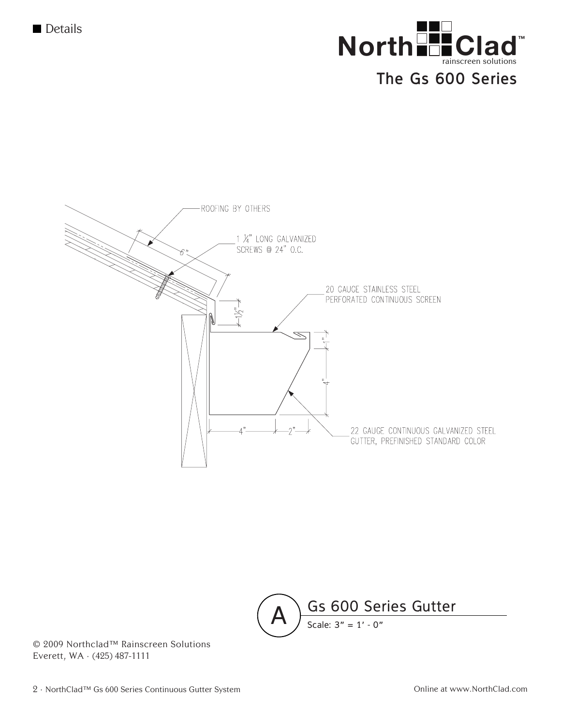





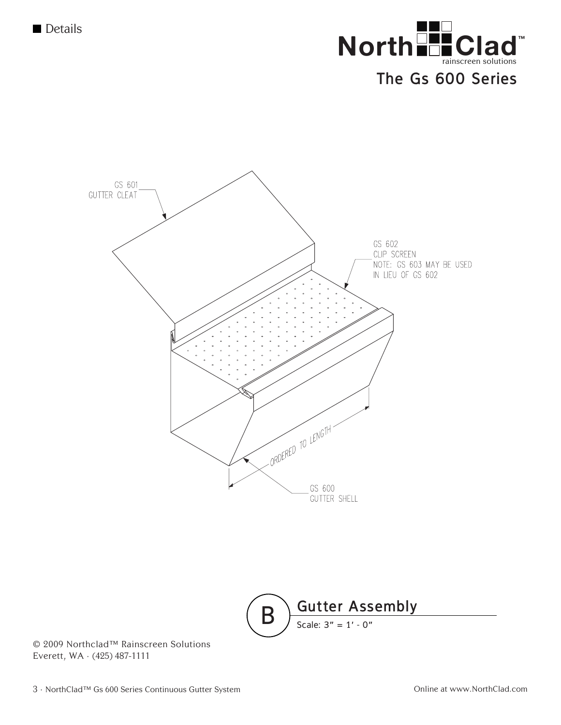

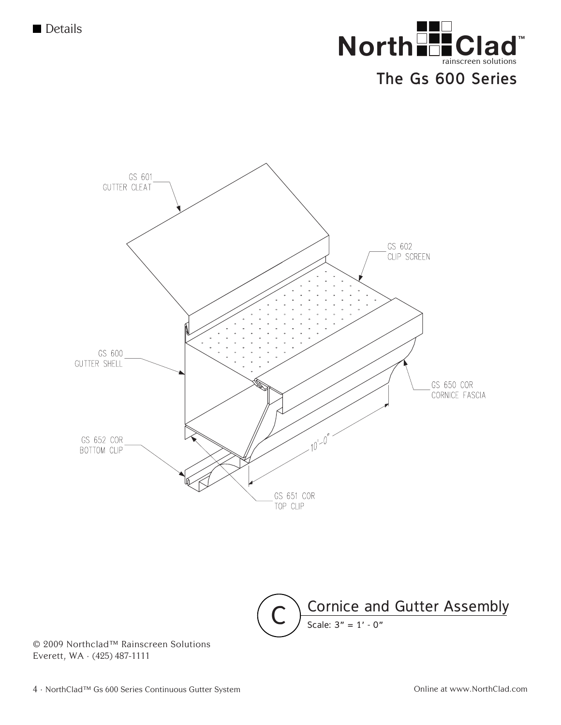



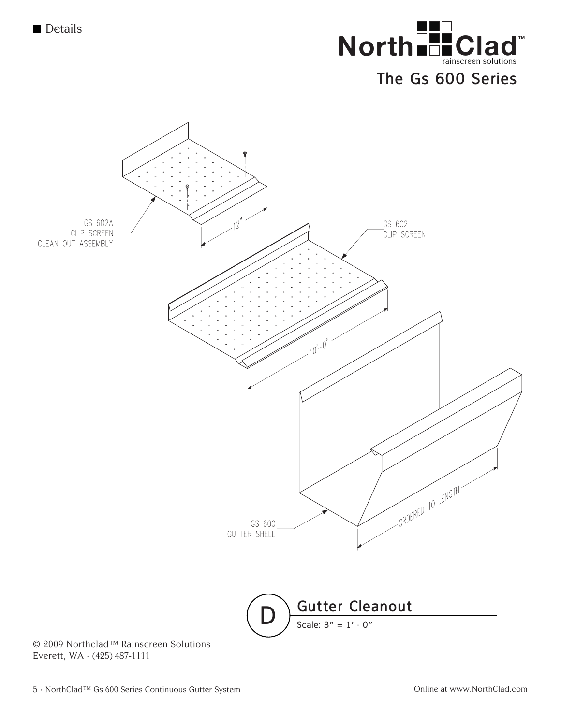**Details** 



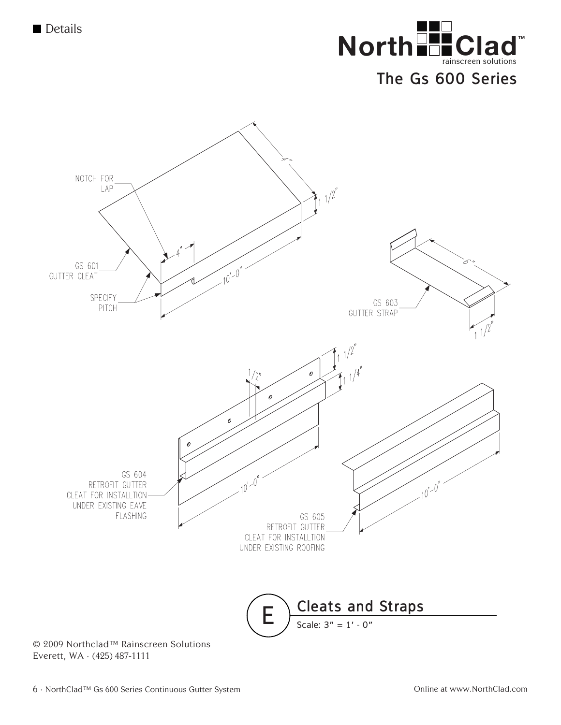

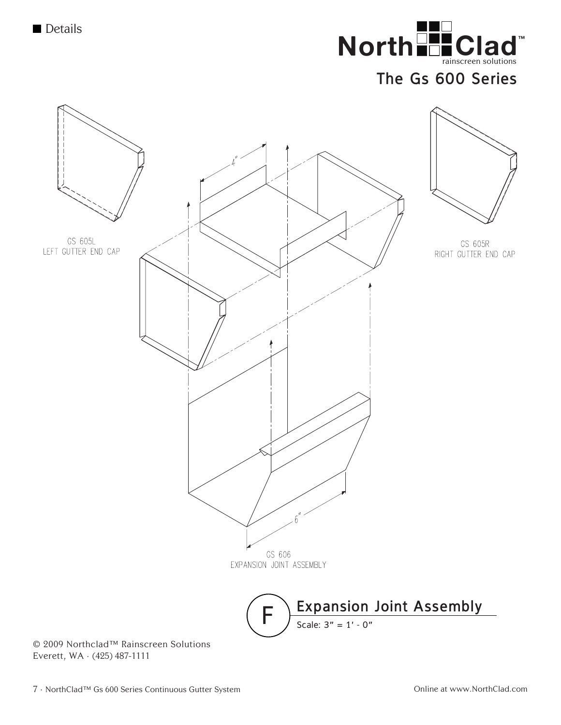

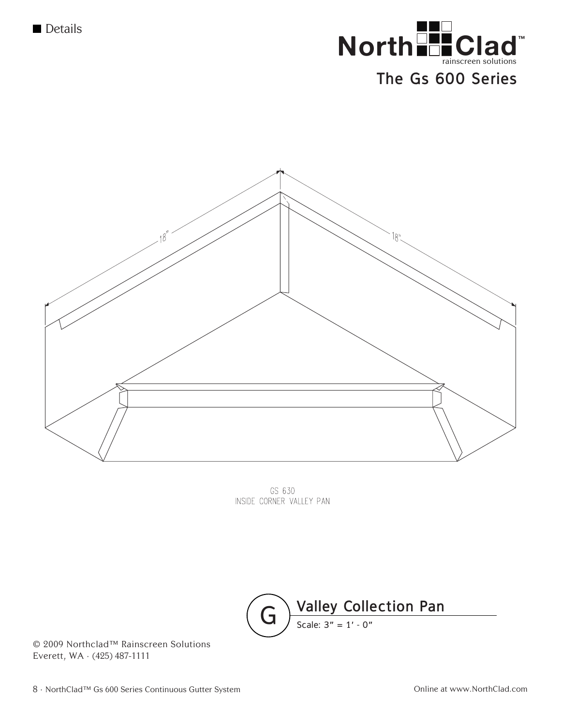





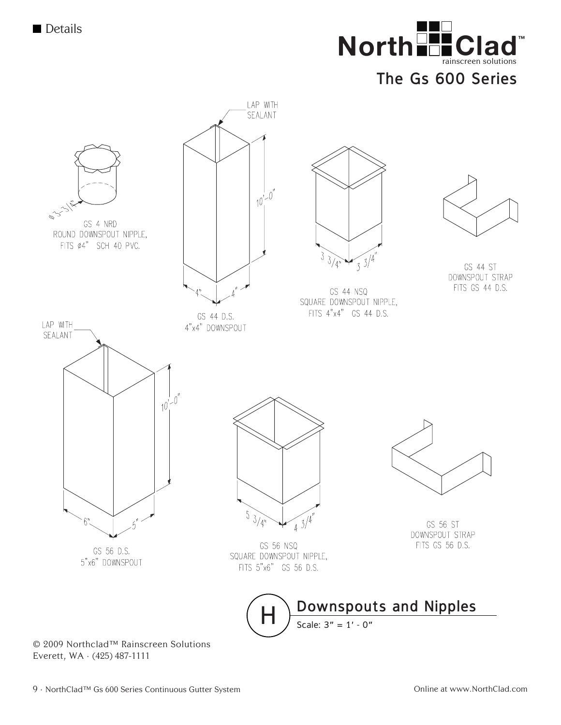



Everett, WA  $\cdot$  (425) 487-1111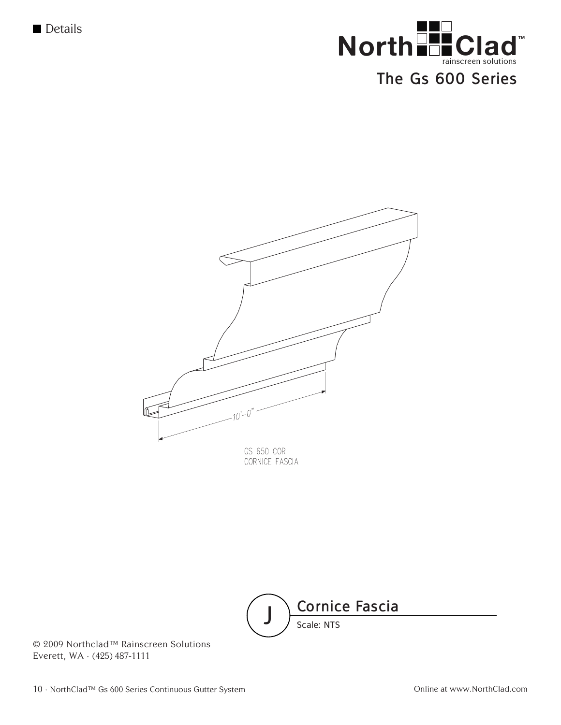

# $\bigcap$ GS 650 COR CORNICE FASCIA

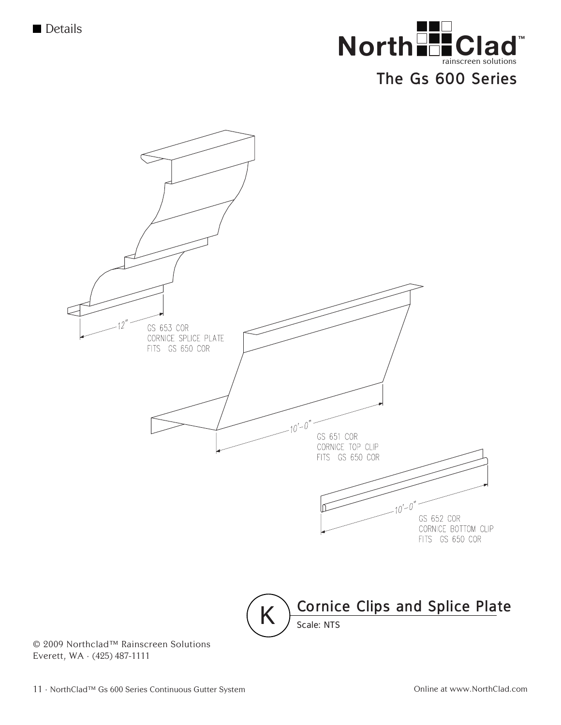

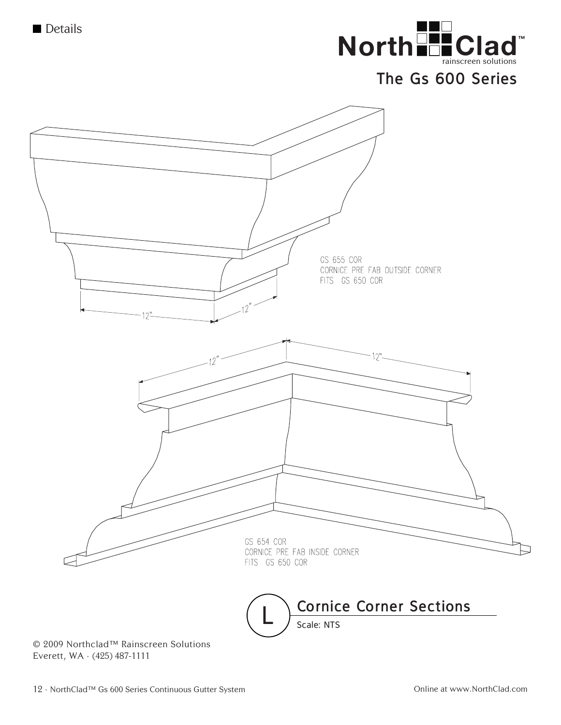